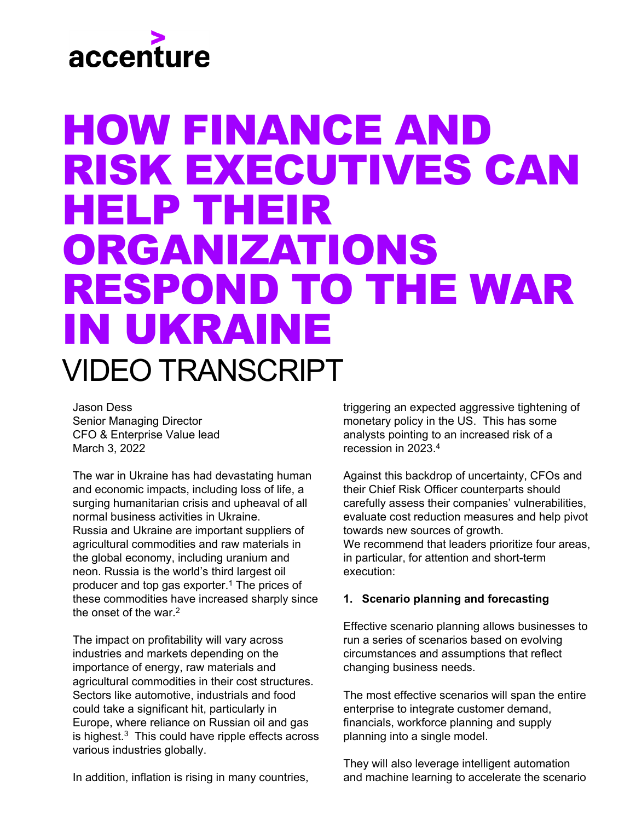# accenture

## HOW FINANCE AND RISK EXECUTIVES CAN HELP THEIR ORGANIZATIONS RESPOND TO THE WAR IN UKRAINE VIDEO TRANSCRIPT

Jason Dess Senior Managing Director CFO & Enterprise Value lead March 3, 2022

The war in Ukraine has had devastating human and economic impacts, including loss of life, a surging humanitarian crisis and upheaval of all normal business activities in Ukraine. Russia and Ukraine are important suppliers of agricultural commodities and raw materials in the global economy, including uranium and neon. Russia is the world's third largest oil producer and top gas exporter.1 The prices of these commodities have increased sharply since the onset of the war.2

The impact on profitability will vary across industries and markets depending on the importance of energy, raw materials and agricultural commodities in their cost structures. Sectors like automotive, industrials and food could take a significant hit, particularly in Europe, where reliance on Russian oil and gas is highest.<sup>3</sup> This could have ripple effects across various industries globally.

In addition, inflation is rising in many countries,

triggering an expected aggressive tightening of monetary policy in the US. This has some analysts pointing to an increased risk of a recession in 2023.4

Against this backdrop of uncertainty, CFOs and their Chief Risk Officer counterparts should carefully assess their companies' vulnerabilities, evaluate cost reduction measures and help pivot towards new sources of growth. We recommend that leaders prioritize four areas, in particular, for attention and short-term execution:

### **1. Scenario planning and forecasting**

Effective scenario planning allows businesses to run a series of scenarios based on evolving circumstances and assumptions that reflect changing business needs.

The most effective scenarios will span the entire enterprise to integrate customer demand, financials, workforce planning and supply planning into a single model.

They will also leverage intelligent automation and machine learning to accelerate the scenario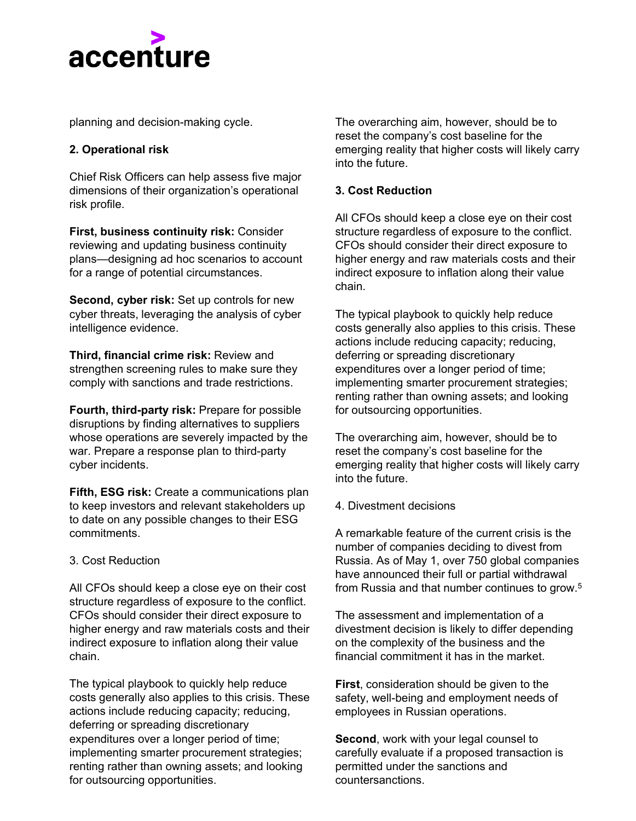

planning and decision-making cycle.

#### **2. Operational risk**

Chief Risk Officers can help assess five major dimensions of their organization's operational risk profile.

**First, business continuity risk:** Consider reviewing and updating business continuity plans—designing ad hoc scenarios to account for a range of potential circumstances.

**Second, cyber risk:** Set up controls for new cyber threats, leveraging the analysis of cyber intelligence evidence.

**Third, financial crime risk:** Review and strengthen screening rules to make sure they comply with sanctions and trade restrictions.

**Fourth, third-party risk:** Prepare for possible disruptions by finding alternatives to suppliers whose operations are severely impacted by the war. Prepare a response plan to third-party cyber incidents.

**Fifth, ESG risk:** Create a communications plan to keep investors and relevant stakeholders up to date on any possible changes to their ESG commitments.

#### 3. Cost Reduction

All CFOs should keep a close eye on their cost structure regardless of exposure to the conflict. CFOs should consider their direct exposure to higher energy and raw materials costs and their indirect exposure to inflation along their value chain.

The typical playbook to quickly help reduce costs generally also applies to this crisis. These actions include reducing capacity; reducing, deferring or spreading discretionary expenditures over a longer period of time; implementing smarter procurement strategies; renting rather than owning assets; and looking for outsourcing opportunities.

The overarching aim, however, should be to reset the company's cost baseline for the emerging reality that higher costs will likely carry into the future.

#### **3. Cost Reduction**

All CFOs should keep a close eye on their cost structure regardless of exposure to the conflict. CFOs should consider their direct exposure to higher energy and raw materials costs and their indirect exposure to inflation along their value chain.

The typical playbook to quickly help reduce costs generally also applies to this crisis. These actions include reducing capacity; reducing, deferring or spreading discretionary expenditures over a longer period of time; implementing smarter procurement strategies; renting rather than owning assets; and looking for outsourcing opportunities.

The overarching aim, however, should be to reset the company's cost baseline for the emerging reality that higher costs will likely carry into the future.

4. Divestment decisions

A remarkable feature of the current crisis is the number of companies deciding to divest from Russia. As of May 1, over 750 global companies have announced their full or partial withdrawal from Russia and that number continues to grow.5

The assessment and implementation of a divestment decision is likely to differ depending on the complexity of the business and the financial commitment it has in the market.

**First**, consideration should be given to the safety, well-being and employment needs of employees in Russian operations.

**Second**, work with your legal counsel to carefully evaluate if a proposed transaction is permitted under the sanctions and countersanctions.